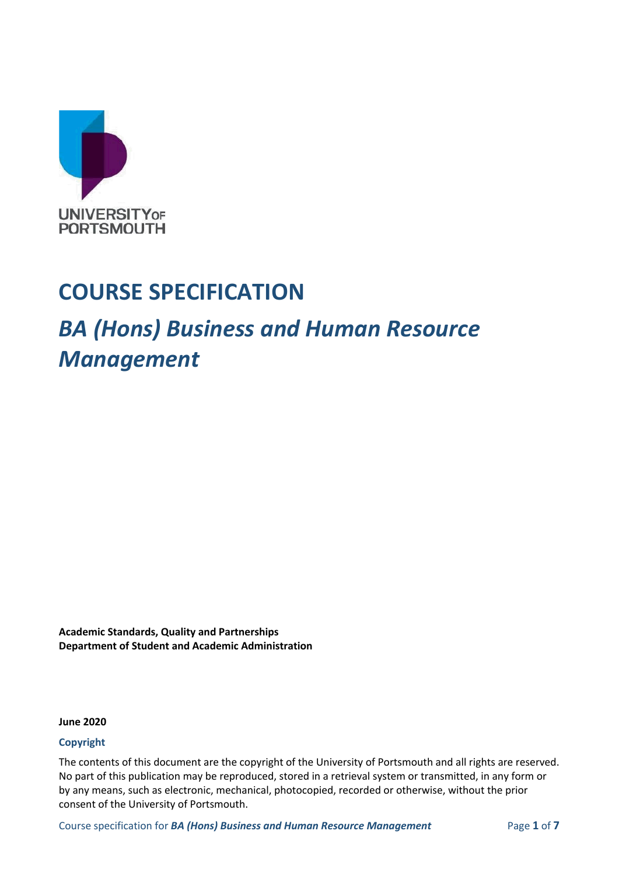

## **COURSE SPECIFICATION**

## *BA (Hons) Business and Human Resource Management*

**Academic Standards, Quality and Partnerships Department of Student and Academic Administration**

**June 2020**

#### **Copyright**

The contents of this document are the copyright of the University of Portsmouth and all rights are reserved. No part of this publication may be reproduced, stored in a retrieval system or transmitted, in any form or by any means, such as electronic, mechanical, photocopied, recorded or otherwise, without the prior consent of the University of Portsmouth.

Course specification for *BA (Hons) Business and Human Resource Management* Page **1** of **7**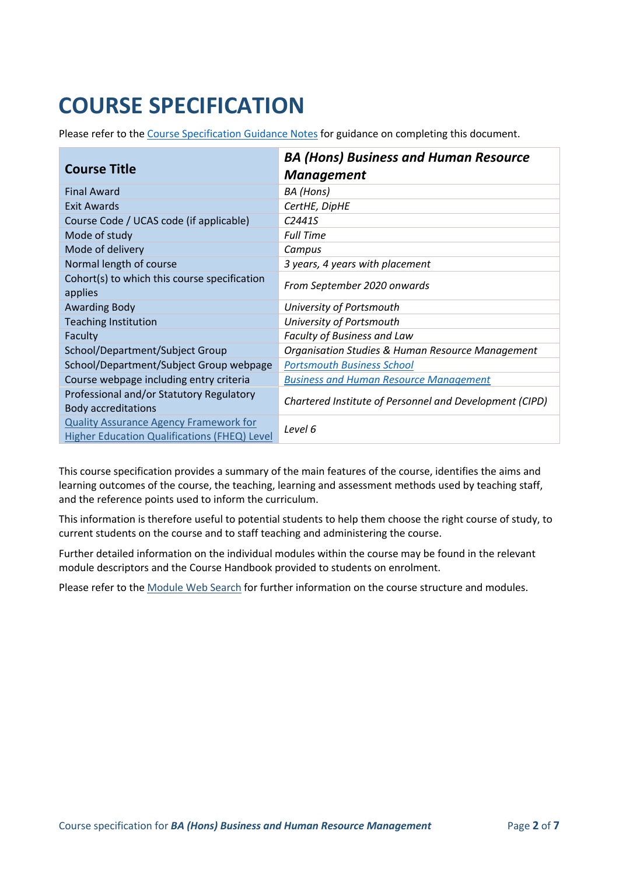# **COURSE SPECIFICATION**

Please refer to the [Course Specification Guidance Notes](http://www.port.ac.uk/departments/services/academicregistry/qmd/curriculum-framework-2019-20/filetodownload,201767,en.docx) for guidance on completing this document.

| <b>Course Title</b>                                                                                  | <b>BA (Hons) Business and Human Resource</b><br><b>Management</b> |
|------------------------------------------------------------------------------------------------------|-------------------------------------------------------------------|
| <b>Final Award</b>                                                                                   | BA (Hons)                                                         |
| Exit Awards                                                                                          | CertHE, DipHE                                                     |
| Course Code / UCAS code (if applicable)                                                              | C <sub>2441S</sub>                                                |
| Mode of study                                                                                        | <b>Full Time</b>                                                  |
| Mode of delivery                                                                                     | Campus                                                            |
| Normal length of course                                                                              | 3 years, 4 years with placement                                   |
| Cohort(s) to which this course specification<br>applies                                              | From September 2020 onwards                                       |
| <b>Awarding Body</b>                                                                                 | University of Portsmouth                                          |
| <b>Teaching Institution</b>                                                                          | University of Portsmouth                                          |
| Faculty                                                                                              | Faculty of Business and Law                                       |
| School/Department/Subject Group                                                                      | <b>Organisation Studies &amp; Human Resource Management</b>       |
| School/Department/Subject Group webpage                                                              | <b>Portsmouth Business School</b>                                 |
| Course webpage including entry criteria                                                              | <b>Business and Human Resource Management</b>                     |
| Professional and/or Statutory Regulatory<br><b>Body accreditations</b>                               | Chartered Institute of Personnel and Development (CIPD)           |
| <b>Quality Assurance Agency Framework for</b><br><b>Higher Education Qualifications (FHEQ) Level</b> | Level 6                                                           |

This course specification provides a summary of the main features of the course, identifies the aims and learning outcomes of the course, the teaching, learning and assessment methods used by teaching staff, and the reference points used to inform the curriculum.

This information is therefore useful to potential students to help them choose the right course of study, to current students on the course and to staff teaching and administering the course.

Further detailed information on the individual modules within the course may be found in the relevant module descriptors and the Course Handbook provided to students on enrolment.

Please refer to the [Module Web Search](https://register.port.ac.uk/ords/f?p=111:1:0:::::) for further information on the course structure and modules.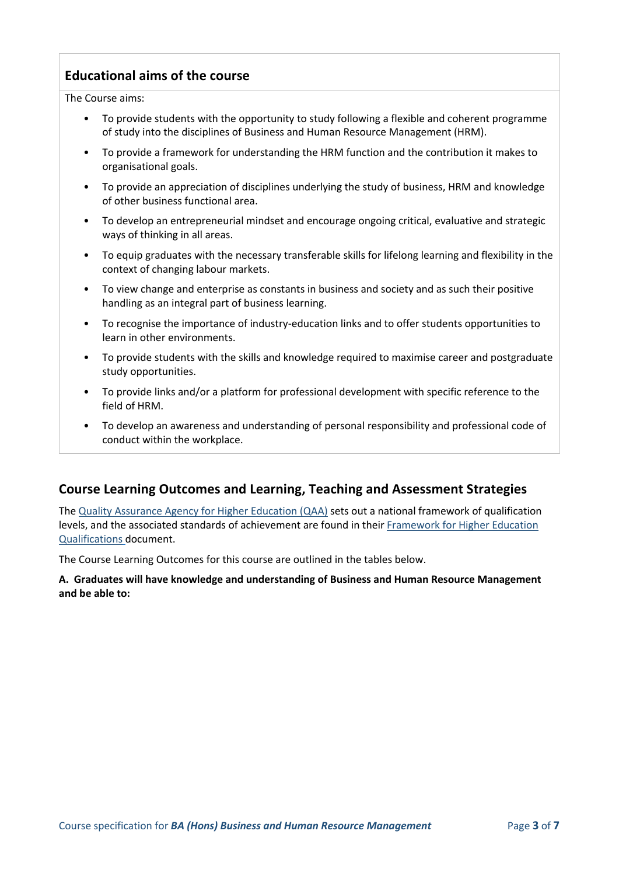## **Educational aims of the course**

The Course aims:

- To provide students with the opportunity to study following a flexible and coherent programme of study into the disciplines of Business and Human Resource Management (HRM).
- To provide a framework for understanding the HRM function and the contribution it makes to organisational goals.
- To provide an appreciation of disciplines underlying the study of business, HRM and knowledge of other business functional area.
- To develop an entrepreneurial mindset and encourage ongoing critical, evaluative and strategic ways of thinking in all areas.
- To equip graduates with the necessary transferable skills for lifelong learning and flexibility in the context of changing labour markets.
- To view change and enterprise as constants in business and society and as such their positive handling as an integral part of business learning.
- To recognise the importance of industry-education links and to offer students opportunities to learn in other environments.
- To provide students with the skills and knowledge required to maximise career and postgraduate study opportunities.
- To provide links and/or a platform for professional development with specific reference to the field of HRM.
- To develop an awareness and understanding of personal responsibility and professional code of conduct within the workplace.

#### **Course Learning Outcomes and Learning, Teaching and Assessment Strategies**

The [Quality Assurance Agency for Higher Education \(QAA\)](http://www.qaa.ac.uk/en) sets out a national framework of qualification levels, and the associated standards of achievement are found in their [Framework for Higher Education](https://www.qaa.ac.uk/docs/qaa/quality-code/qualifications-frameworks.pdf?sfvrsn=170af781_16)  [Qualifications](https://www.qaa.ac.uk/docs/qaa/quality-code/qualifications-frameworks.pdf?sfvrsn=170af781_16) document.

The Course Learning Outcomes for this course are outlined in the tables below.

**A. Graduates will have knowledge and understanding of Business and Human Resource Management and be able to:**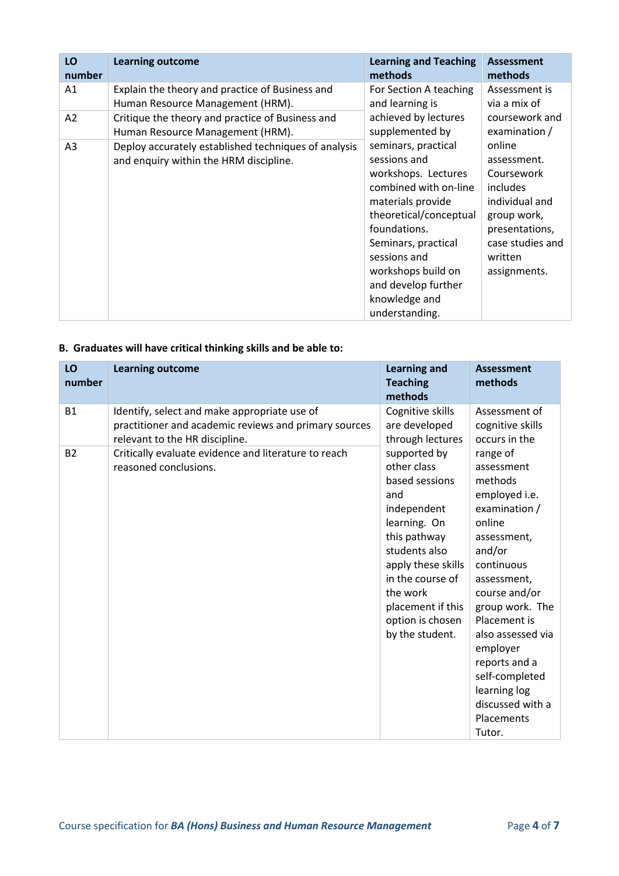| LO<br>number   | <b>Learning outcome</b>                              | <b>Learning and Teaching</b><br>methods | <b>Assessment</b><br>methods |
|----------------|------------------------------------------------------|-----------------------------------------|------------------------------|
| A1             | Explain the theory and practice of Business and      | For Section A teaching                  | Assessment is                |
|                | Human Resource Management (HRM).                     | and learning is                         | via a mix of                 |
| A2             | Critique the theory and practice of Business and     | achieved by lectures                    | coursework and               |
|                | Human Resource Management (HRM).                     | supplemented by                         | examination /                |
| A <sub>3</sub> | Deploy accurately established techniques of analysis | seminars, practical                     | online                       |
|                | and enquiry within the HRM discipline.               | sessions and                            | assessment.                  |
|                |                                                      | workshops. Lectures                     | Coursework                   |
|                |                                                      | combined with on-line                   | includes                     |
|                |                                                      | materials provide                       | individual and               |
|                |                                                      | theoretical/conceptual                  | group work,                  |
|                |                                                      | foundations.                            | presentations,               |
|                |                                                      | Seminars, practical                     | case studies and             |
|                |                                                      | sessions and                            | written                      |
|                |                                                      | workshops build on                      | assignments.                 |
|                |                                                      | and develop further                     |                              |
|                |                                                      | knowledge and                           |                              |
|                |                                                      | understanding.                          |                              |

#### **B. Graduates will have critical thinking skills and be able to:**

| LO<br>number | <b>Learning outcome</b>                                                                                                                 | <b>Learning and</b><br><b>Teaching</b><br>methods                                                                                                                                                                                      | <b>Assessment</b><br>methods                                                                                                                                                                                                                                                                                            |
|--------------|-----------------------------------------------------------------------------------------------------------------------------------------|----------------------------------------------------------------------------------------------------------------------------------------------------------------------------------------------------------------------------------------|-------------------------------------------------------------------------------------------------------------------------------------------------------------------------------------------------------------------------------------------------------------------------------------------------------------------------|
| <b>B1</b>    | Identify, select and make appropriate use of<br>practitioner and academic reviews and primary sources<br>relevant to the HR discipline. | Cognitive skills<br>are developed<br>through lectures                                                                                                                                                                                  | Assessment of<br>cognitive skills<br>occurs in the                                                                                                                                                                                                                                                                      |
| <b>B2</b>    | Critically evaluate evidence and literature to reach<br>reasoned conclusions.                                                           | supported by<br>other class<br>based sessions<br>and<br>independent<br>learning. On<br>this pathway<br>students also<br>apply these skills<br>in the course of<br>the work<br>placement if this<br>option is chosen<br>by the student. | range of<br>assessment<br>methods<br>employed i.e.<br>examination /<br>online<br>assessment,<br>and/or<br>continuous<br>assessment,<br>course and/or<br>group work. The<br>Placement is<br>also assessed via<br>employer<br>reports and a<br>self-completed<br>learning log<br>discussed with a<br>Placements<br>Tutor. |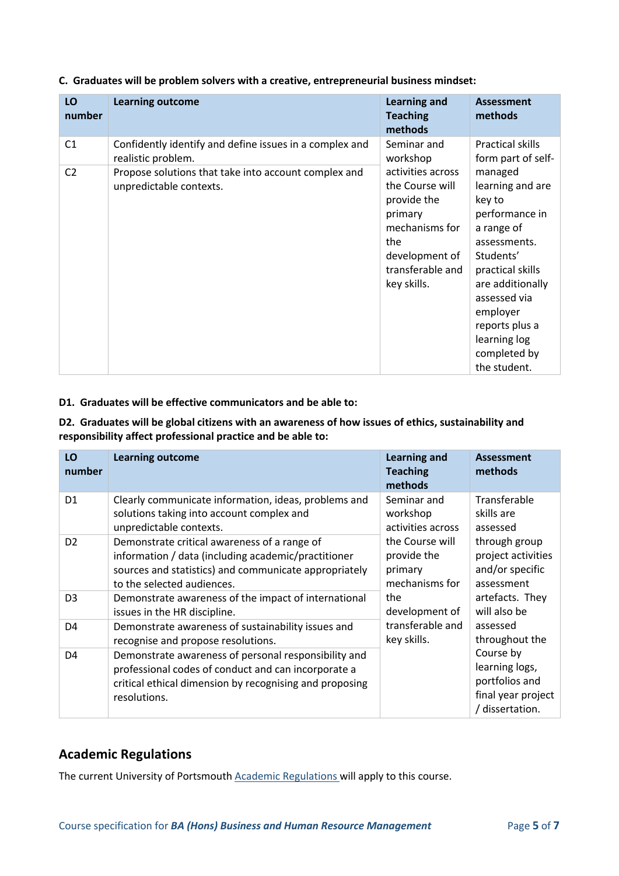| LO<br>number   | <b>Learning outcome</b>                                                         | <b>Learning and</b><br><b>Teaching</b><br>methods                                                                                            | <b>Assessment</b><br>methods                                                                                                                                                                                                             |
|----------------|---------------------------------------------------------------------------------|----------------------------------------------------------------------------------------------------------------------------------------------|------------------------------------------------------------------------------------------------------------------------------------------------------------------------------------------------------------------------------------------|
| C <sub>1</sub> | Confidently identify and define issues in a complex and<br>realistic problem.   | Seminar and<br>workshop                                                                                                                      | Practical skills<br>form part of self-                                                                                                                                                                                                   |
| C <sub>2</sub> | Propose solutions that take into account complex and<br>unpredictable contexts. | activities across<br>the Course will<br>provide the<br>primary<br>mechanisms for<br>the<br>development of<br>transferable and<br>key skills. | managed<br>learning and are<br>key to<br>performance in<br>a range of<br>assessments.<br>Students'<br>practical skills<br>are additionally<br>assessed via<br>employer<br>reports plus a<br>learning log<br>completed by<br>the student. |

**C. Graduates will be problem solvers with a creative, entrepreneurial business mindset:**

#### **D1. Graduates will be effective communicators and be able to:**

**D2. Graduates will be global citizens with an awareness of how issues of ethics, sustainability and responsibility affect professional practice and be able to:**

| LO<br>number   | <b>Learning outcome</b>                                                                                                                                                                | <b>Learning and</b><br><b>Teaching</b><br>methods | <b>Assessment</b><br>methods                                                           |
|----------------|----------------------------------------------------------------------------------------------------------------------------------------------------------------------------------------|---------------------------------------------------|----------------------------------------------------------------------------------------|
| D <sub>1</sub> | Clearly communicate information, ideas, problems and                                                                                                                                   | Seminar and                                       | Transferable                                                                           |
|                | solutions taking into account complex and                                                                                                                                              | workshop                                          | skills are                                                                             |
|                | unpredictable contexts.                                                                                                                                                                | activities across                                 | assessed                                                                               |
| D <sub>2</sub> | Demonstrate critical awareness of a range of                                                                                                                                           | the Course will                                   | through group                                                                          |
|                | information / data (including academic/practitioner                                                                                                                                    | provide the                                       | project activities                                                                     |
|                | sources and statistics) and communicate appropriately                                                                                                                                  | primary                                           | and/or specific                                                                        |
|                | to the selected audiences.                                                                                                                                                             | mechanisms for                                    | assessment                                                                             |
| D <sub>3</sub> | Demonstrate awareness of the impact of international                                                                                                                                   | the                                               | artefacts. They                                                                        |
|                | issues in the HR discipline.                                                                                                                                                           | development of                                    | will also be                                                                           |
| D <sub>4</sub> | Demonstrate awareness of sustainability issues and                                                                                                                                     | transferable and                                  | assessed                                                                               |
|                | recognise and propose resolutions.                                                                                                                                                     | key skills.                                       | throughout the                                                                         |
| D <sub>4</sub> | Demonstrate awareness of personal responsibility and<br>professional codes of conduct and can incorporate a<br>critical ethical dimension by recognising and proposing<br>resolutions. |                                                   | Course by<br>learning logs,<br>portfolios and<br>final year project<br>/ dissertation. |

#### **Academic Regulations**

The current University of Portsmouth [Academic Regulations](http://policies.docstore.port.ac.uk/policy-107.pdf?_ga=2.115099791.988573471.1600698712-86764541.1593710288) will apply to this course.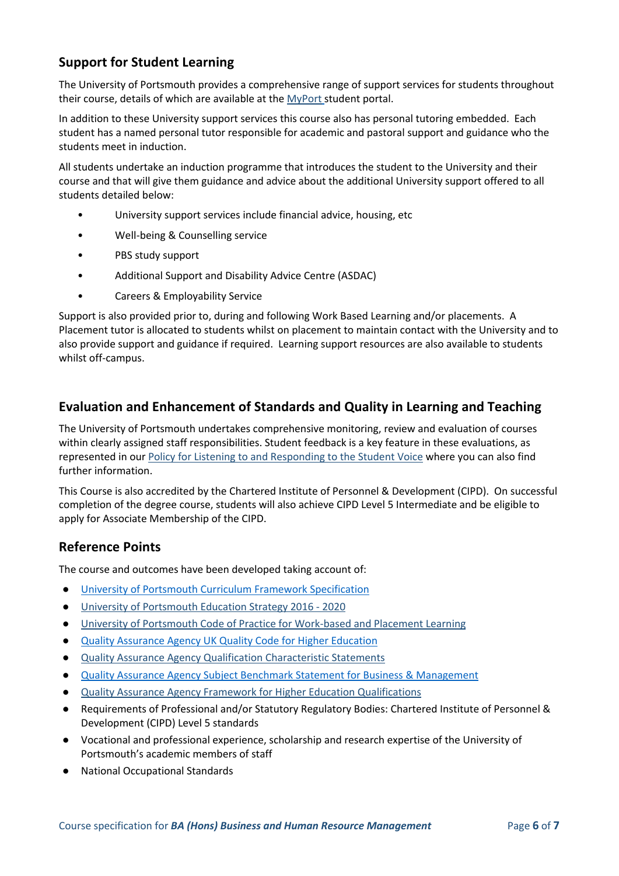## **Support for Student Learning**

The University of Portsmouth provides a comprehensive range of support services for students throughout their course, details of which are available at the [MyPort](http://myport.ac.uk/) student portal.

In addition to these University support services this course also has personal tutoring embedded. Each student has a named personal tutor responsible for academic and pastoral support and guidance who the students meet in induction.

All students undertake an induction programme that introduces the student to the University and their course and that will give them guidance and advice about the additional University support offered to all students detailed below:

- University support services include financial advice, housing, etc
- Well-being & Counselling service
- PBS study support
- Additional Support and Disability Advice Centre (ASDAC)
- Careers & Employability Service

Support is also provided prior to, during and following Work Based Learning and/or placements. A Placement tutor is allocated to students whilst on placement to maintain contact with the University and to also provide support and guidance if required. Learning support resources are also available to students whilst off-campus.

#### **Evaluation and Enhancement of Standards and Quality in Learning and Teaching**

The University of Portsmouth undertakes comprehensive monitoring, review and evaluation of courses within clearly assigned staff responsibilities. Student feedback is a key feature in these evaluations, as represented in our [Policy for Listening to and Responding to the Student Voice](http://policies.docstore.port.ac.uk/policy-069.pdf) where you can also find further information.

This Course is also accredited by the Chartered Institute of Personnel & Development (CIPD). On successful completion of the degree course, students will also achieve CIPD Level 5 Intermediate and be eligible to apply for Associate Membership of the CIPD.

#### **Reference Points**

The course and outcomes have been developed taking account of:

- [University of Portsmouth Curriculum Framework Specification](http://policies.docstore.port.ac.uk/policy-217.pdf?_ga=2.43166765.988573471.1600698712-86764541.1593710288)
- [University of Portsmouth Education Strategy 2016 -](http://policies.docstore.port.ac.uk/policy-187.pdf) 2020
- [University of Portsmouth Code of Practice for Work-based and Placement Learning](http://policies.docstore.port.ac.uk/policy-151.pdf)
- [Quality Assurance Agency UK Quality Code for Higher Education](https://www.qaa.ac.uk/docs/qaa/quality-code/quality-code-overview-2015.pdf?sfvrsn=d309f781_6)
- [Quality Assurance Agency Qualification Characteristic Statements](https://www.qaa.ac.uk/news-events/news/revisions-to-qualification-characteristics-statements)
- [Quality Assurance Agency Subject Benchmark Statement for Business & Management](https://www.qaa.ac.uk/docs/qaa/subject-benchmark-statements/subject-benchmark-statement-business-and-management.pdf?sfvrsn=db39c881_5)
- [Quality Assurance Agency Framework for Higher Education Qualifications](https://www.qaa.ac.uk/docs/qaa/quality-code/qualifications-frameworks.pdf?sfvrsn=170af781_16)
- Requirements of Professional and/or Statutory Regulatory Bodies: Chartered Institute of Personnel & Development (CIPD) Level 5 standards
- Vocational and professional experience, scholarship and research expertise of the University of Portsmouth's academic members of staff
- **National Occupational Standards**